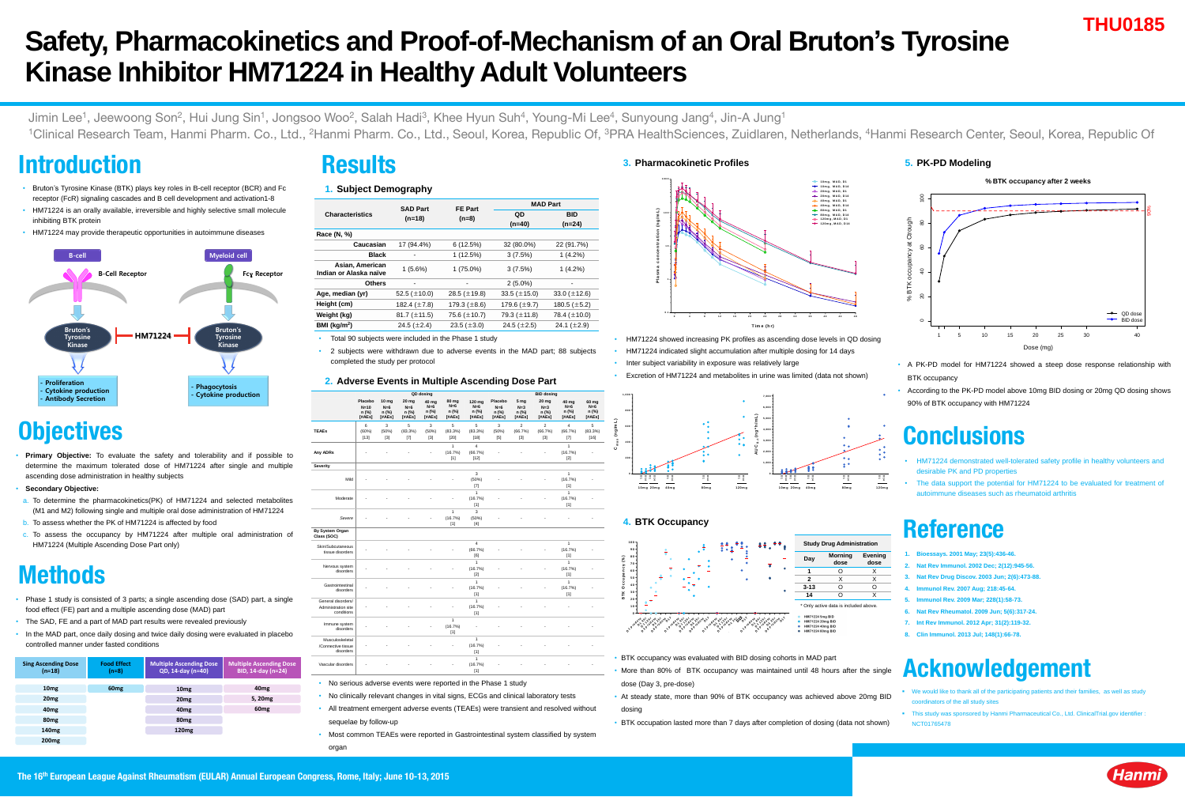# **Safety, Pharmacokinetics and Proof-of-Mechanism of an Oral Bruton's Tyrosine Kinase Inhibitor HM71224 in Healthy Adult Volunteers**

Jimin Lee<sup>1</sup>, Jeewoong Son<sup>2</sup>, Hui Jung Sin<sup>1</sup>, Jongsoo Woo<sup>2</sup>, Salah Hadi<sup>3</sup>, Khee Hyun Suh<sup>4</sup>, Young-Mi Lee<sup>4</sup>, Sunyoung Jang<sup>4</sup>, Jin-A Jung<sup>1</sup> <sup>1</sup>Clinical Research Team, Hanmi Pharm. Co., Ltd., <sup>2</sup>Hanmi Pharm. Co., Ltd., Seoul, Korea, Republic Of, <sup>3</sup>PRA HealthSciences, Zuidlaren, Netherlands, <sup>4</sup>Hanmi Research Center, Seoul, Korea, Republic Of

## **Introduction**

## **Conclusions**

- HM71224 demonstrated well-tolerated safety profile in healthy volunteers and desirable PK and PD properties
- The data support the potential for HM71224 to be evaluated for treatment of autoimmune diseases such as rheumatoid arthritis

**THU0185**

- Bruton's Tyrosine Kinase (BTK) plays key roles in B-cell receptor (BCR) and Fc receptor (FcR) signaling cascades and B cell development and activation1-8
- HM71224 is an orally available, irreversible and highly selective small molecule inhibiting BTK protein
- HM71224 may provide therapeutic opportunities in autoimmune diseases

• **Primary Objective:** To evaluate the safety and tolerability and if possible to determine the maximum tolerated dose of HM71224 after single and multiple ascending dose administration in healthy subjects

#### • **Secondary Objective:**

- a. To determine the pharmacokinetics(PK) of HM71224 and selected metabolites (M1 and M2) following single and multiple oral dose administration of HM71224
- b. To assess whether the PK of HM71224 is affected by food
- To assess the occupancy by HM71224 after multiple oral administration of HM71224 (Multiple Ascending Dose Part only)

- **We would like to thank all of the participating patients and their families, as well as study** coordinators of the all study sites
- **This study was sponsored by Hanmi Pharmaceutical Co., Ltd. ClinicalTrial.gov identifier :** NCT01765478
- BTK occupancy was evaluated with BID dosing cohorts in MAD part
- More than 80% of BTK occupancy was maintained until 48 hours after the single dose (Day 3, pre-dose)
- At steady state, more than 90% of BTK occupancy was achieved above 20mg BID dosing
- BTK occupation lasted more than 7 days after completion of dosing (data not shown)



## **Methods**

- Phase 1 study is consisted of 3 parts; a single ascending dose (SAD) part, a single food effect (FE) part and a multiple ascending dose (MAD) part
- The SAD, FE and a part of MAD part results were revealed previously
- In the MAD part, once daily dosing and twice daily dosing were evaluated in placebo controlled manner under fasted conditions

### **Results**

• 2 subjects were withdrawn due to adverse events in the MAD part; 88 subjects completed the study per protocol

- No clinically relevant changes in vital signs, ECGs and clinical laboratory tests
- All treatment emergent adverse events (TEAEs) were transient and resolved without sequelae by follow-up
- Most common TEAEs were reported in Gastrointestinal system classified by system organ

## **Reference**

- **1. Bioessays. 2001 May; 23(5):436-46.**
- **2. Nat Rev Immunol. 2002 Dec; 2(12):945-56.**
- **3. Nat Rev Drug Discov. 2003 Jun; 2(6):473-88.**
- **4. Immunol Rev. 2007 Aug; 218:45-64.**
- **5. Immunol Rev. 2009 Mar; 228(1):58-73.**
- **6. Nat Rev Rheumatol. 2009 Jun; 5(6):317-24.**
- **7. Int Rev Immunol. 2012 Apr; 31(2):119-32.**
- **8. Clin Immunol. 2013 Jul; 148(1):66-78.**

## **Acknowledgement**

- Inter subject variability in exposure was relatively large
- Excretion of HM71224 and metabolites in urine was limited (data not shown)



- A PK-PD model for HM71224 showed a steep dose response relationship with BTK occupancy
- According to the PK-PD model above 10mg BID dosing or 20mg QD dosing shows 90% of BTK occupancy with HM71224



## **Objectives**

| <b>Sing Ascending Dose</b><br>$(n=18)$ | <b>Food Effect</b><br>$(n=8)$ | <b>Multiple Ascending Dose</b><br>QD, 14-day (n=40) | <b>Multiple Ascending Dose</b><br><b>BID, 14-day (n=24)</b> |
|----------------------------------------|-------------------------------|-----------------------------------------------------|-------------------------------------------------------------|
| 10 <sub>mg</sub>                       | 60 <sub>mg</sub>              | 10 <sub>mg</sub>                                    | 40 <sub>mg</sub>                                            |
| 20 <sub>mg</sub>                       |                               | 20 <sub>mg</sub>                                    | 5, 20mg                                                     |
| 40 <sub>mg</sub>                       |                               | 40 <sub>mg</sub>                                    | 60 <sub>mg</sub>                                            |
| 80 <sub>mg</sub>                       |                               | 80 <sub>mg</sub>                                    |                                                             |
| 140 <sub>mg</sub>                      |                               | <b>120mg</b>                                        |                                                             |
| <b>200mg</b>                           |                               |                                                     |                                                             |

#### **1. Subject Demography**

|                                                  | <b>SAD Part</b>   |                   | <b>MAD Part</b>   |                   |  |  |
|--------------------------------------------------|-------------------|-------------------|-------------------|-------------------|--|--|
| <b>Characteristics</b>                           |                   | <b>FE Part</b>    | QD                | <b>BID</b>        |  |  |
|                                                  | $(n=18)$          | $(n=8)$           | $(n=40)$          | $(n=24)$          |  |  |
| Race (N, %)                                      |                   |                   |                   |                   |  |  |
| <b>Caucasian</b>                                 | $17(94.4\%)$      | 6(12.5%)          | 32 (80.0%)        | 22 (91.7%)        |  |  |
| <b>Black</b>                                     |                   | 1(12.5%)          | 3(7.5%)           | $1(4.2\%)$        |  |  |
| <b>Asian, American</b><br>Indian or Alaska naïve | $1(5.6\%)$        | $1(75.0\%)$       | 3(7.5%)           | $1(4.2\%)$        |  |  |
| <b>Others</b>                                    |                   |                   | $2(5.0\%)$        | $\blacksquare$    |  |  |
| Age, median (yr)                                 | 52.5 $(\pm 10.0)$ | 28.5 $(\pm 19.8)$ | 33.5 $(\pm 15.0)$ | 33.0 $(\pm 12.6)$ |  |  |
| Height (cm)                                      | 182.4 $(\pm 7.8)$ | 179.3 $(\pm 8.6)$ | 179.6 $(\pm 9.7)$ | 180.5 $(\pm 5.2)$ |  |  |
| <b>Weight (kg)</b>                               | 81.7 $(\pm 11.5)$ | 75.6 $(\pm 10.7)$ | 79.3 $(\pm 11.8)$ | 78.4 $(\pm 10.0)$ |  |  |
| BMI ( $kg/m2$ )                                  | 24.5 $(\pm 2.4)$  | 23.5 $(\pm 3.0)$  | 24.5 $(\pm 2.5)$  | 24.1 $(\pm 2.9)$  |  |  |
|                                                  |                   |                   |                   |                   |  |  |

Total 90 subjects were included in the Phase 1 study

#### **2. Adverse Events in Multiple Ascending Dose Part**

|                                                                | <b>QD dosing</b>                                       |                                                     |                                                     |                                     |                                                     | <b>BID dosing</b>                           |                                                       |                                                        |                                                     |                                     |                                              |
|----------------------------------------------------------------|--------------------------------------------------------|-----------------------------------------------------|-----------------------------------------------------|-------------------------------------|-----------------------------------------------------|---------------------------------------------|-------------------------------------------------------|--------------------------------------------------------|-----------------------------------------------------|-------------------------------------|----------------------------------------------|
|                                                                | <b>Placebo</b><br>$N=10$<br>$n$ (%)<br>[ <i>#AEs</i> ] | <b>10 mg</b><br>$N=6$<br>$n$ (%)<br>[ <i>#AEs</i> ] | <b>20 mg</b><br>$N=6$<br>$n$ (%)<br>[ <i>#AEs</i> ] | 40 mg<br>$N=6$<br>$n$ (%)<br>[#AEs] | <b>80 mg</b><br>$N=6$<br>$n$ (%)<br>[ <i>#AEs</i> ] | 120 mg<br>$N=6$<br>$n$ (%)<br>[#AEs]        | <b>Placebo</b><br>$N=6$<br>$n$ (%)<br>[ <i>#AEs</i> ] | 5 <sub>mg</sub><br>$N=3$<br>$n$ (%)<br>[ <i>#AEs</i> ] | <b>20 mg</b><br>$N=3$<br>$n$ (%)<br>[ <i>#AEs</i> ] | 40 mg<br>$N=6$<br>$n$ (%)<br>[#AEs] | 60 mg<br>$N=6$<br>$n$ (%)<br>[ <i>#AEs</i> ] |
| <b>TEAEs</b>                                                   | 6<br>(60%)<br>$[13]$                                   | $\mathfrak{S}$<br>(50%)<br>$[3]$                    | $\overline{5}$<br>(83.3%)<br>$[7]$                  | $\mathbf{3}$<br>(50%)<br>$[3]$      | 5<br>(83.3%)<br>$[20]$                              | $5\phantom{.0}$<br>(83.3%)<br>$[18]$        | 3<br>(50%)<br>$[5]$                                   | $\overline{2}$<br>(66.7%)<br>$[3]$                     | $\overline{2}$<br>(66.7%)<br>$[3]$                  | $\overline{4}$<br>(66.7%)<br>$[7]$  | 5<br>(83.3%)<br>$[16]$                       |
| <b>Any ADRs</b>                                                |                                                        |                                                     |                                                     | $\blacksquare$                      | 1<br>(16.7%)<br>$[1]$                               | $\overline{4}$<br>(66.7%)<br>$[12]$         |                                                       |                                                        | $\blacksquare$                                      | 1<br>(16.7%)<br>$[2]$               | $\blacksquare$                               |
| <b>Severity</b>                                                |                                                        |                                                     |                                                     |                                     |                                                     |                                             |                                                       |                                                        |                                                     |                                     |                                              |
| Mild                                                           |                                                        |                                                     |                                                     |                                     | $\blacksquare$                                      | 3<br>(50%)<br>$[7]$                         |                                                       |                                                        |                                                     | $\overline{1}$<br>(16.7%)<br>$[1]$  |                                              |
| Moderate                                                       |                                                        |                                                     |                                                     |                                     | $\blacksquare$                                      | $\mathbf 1$<br>(16.7%)<br>$[1]$             |                                                       |                                                        | $\blacksquare$                                      | $\overline{1}$<br>(16.7%)<br>$[1]$  |                                              |
| Severe                                                         |                                                        |                                                     |                                                     | $\blacksquare$                      | $\mathbf 1$<br>(16.7%)<br>$[1]$                     | $\mathbf{3}$<br>(50%)<br>$[4]$              |                                                       |                                                        |                                                     |                                     |                                              |
| <b>By System Organ</b><br><b>Class (SOC)</b>                   |                                                        |                                                     |                                                     |                                     |                                                     |                                             |                                                       |                                                        |                                                     |                                     |                                              |
| <b>Skin/Subcutaneous</b><br>tissue disorders                   |                                                        |                                                     |                                                     |                                     |                                                     | 4<br>(66.7%)<br>[6]                         |                                                       |                                                        |                                                     | (16.7%)<br>[1]                      |                                              |
| Nervous system<br>disorders                                    |                                                        |                                                     |                                                     |                                     |                                                     | (16.7%)<br>$[2]$                            |                                                       |                                                        | $\blacksquare$                                      | (16.7%)<br>[1]                      |                                              |
| Gastrointestinal<br>disorders                                  |                                                        |                                                     |                                                     |                                     | $\blacksquare$                                      | (16.7%)<br>$[1]$                            |                                                       |                                                        | $\blacksquare$                                      | (16.7%)<br>[1]                      |                                              |
| General disorders/<br><b>Administration site</b><br>conditions |                                                        |                                                     |                                                     |                                     | $\blacksquare$                                      | $\overline{\mathbf{A}}$<br>(16.7%)<br>$[1]$ |                                                       |                                                        |                                                     |                                     |                                              |
| Immune system<br>disorders                                     |                                                        |                                                     |                                                     | $\blacksquare$                      | (16.7%)<br>$[1]$                                    |                                             |                                                       |                                                        |                                                     |                                     |                                              |
| Musculoskeletal<br>/Connective tissue<br>disorders             |                                                        |                                                     |                                                     |                                     | $\blacksquare$                                      | (16.7%)<br>[1]                              |                                                       |                                                        |                                                     |                                     |                                              |
| Vascular disorders                                             |                                                        |                                                     |                                                     |                                     |                                                     | $\mathbf 1$<br>(16.7%)<br>$[1]$             |                                                       |                                                        |                                                     |                                     |                                              |

No serious adverse events were reported in the Phase 1 study

### **3. Pharmacokinetic Profiles**

#### **4. BTK Occupancy**

• HM71224 showed increasing PK profiles as ascending dose levels in QD dosing • HM71224 indicated slight accumulation after multiple dosing for 14 days



### **5. PK-PD Modeling**